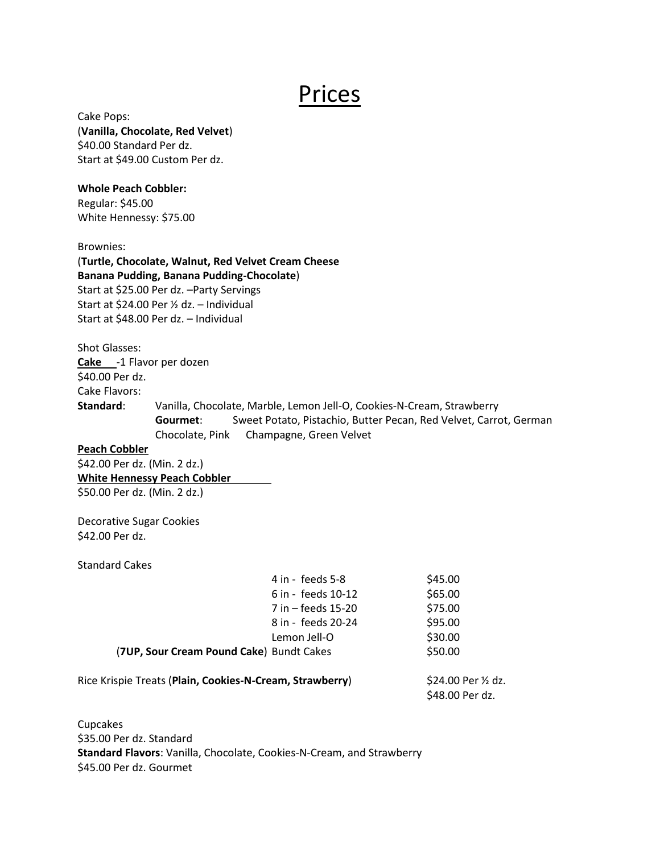## Prices

Cake Pops: (**Vanilla, Chocolate, Red Velvet**) \$40.00 Standard Per dz. Start at \$49.00 Custom Per dz.

## **Whole Peach Cobbler:**

Regular: \$45.00 White Hennessy: \$75.00

Brownies:

(**Turtle, Chocolate, Walnut, Red Velvet Cream Cheese Banana Pudding, Banana Pudding-Chocolate**) Start at \$25.00 Per dz. –Party Servings Start at \$24.00 Per ½ dz. – Individual Start at \$48.00 Per dz. – Individual

Shot Glasses: **Cake** -1 Flavor per dozen \$40.00 Per dz. Cake Flavors: **Standard**: Vanilla, Chocolate, Marble, Lemon Jell-O, Cookies-N-Cream, Strawberry **Gourmet**: Sweet Potato, Pistachio, Butter Pecan, Red Velvet, Carrot, German Chocolate, Pink Champagne, Green Velvet

**Peach Cobbler**

\$42.00 Per dz. (Min. 2 dz.) **White Hennessy Peach Cobbler** \$50.00 Per dz. (Min. 2 dz.)

Decorative Sugar Cookies \$42.00 Per dz.

Standard Cakes

| 4 in - feeds 5-8                         | \$45.00 |
|------------------------------------------|---------|
| 6 in - feeds 10-12                       | \$65.00 |
| 7 in – feeds 15-20                       | \$75.00 |
| 8 in - feeds 20-24                       | \$95.00 |
| Lemon Jell-O                             | \$30.00 |
| (7UP, Sour Cream Pound Cake) Bundt Cakes | \$50.00 |
|                                          |         |

Rice Krispie Treats (Plain, Cookies-N-Cream, Strawberry) \$24.00 Per 1/2 dz.

\$48.00 Per dz.

Cupcakes \$35.00 Per dz. Standard **Standard Flavors**: Vanilla, Chocolate, Cookies-N-Cream, and Strawberry \$45.00 Per dz. Gourmet